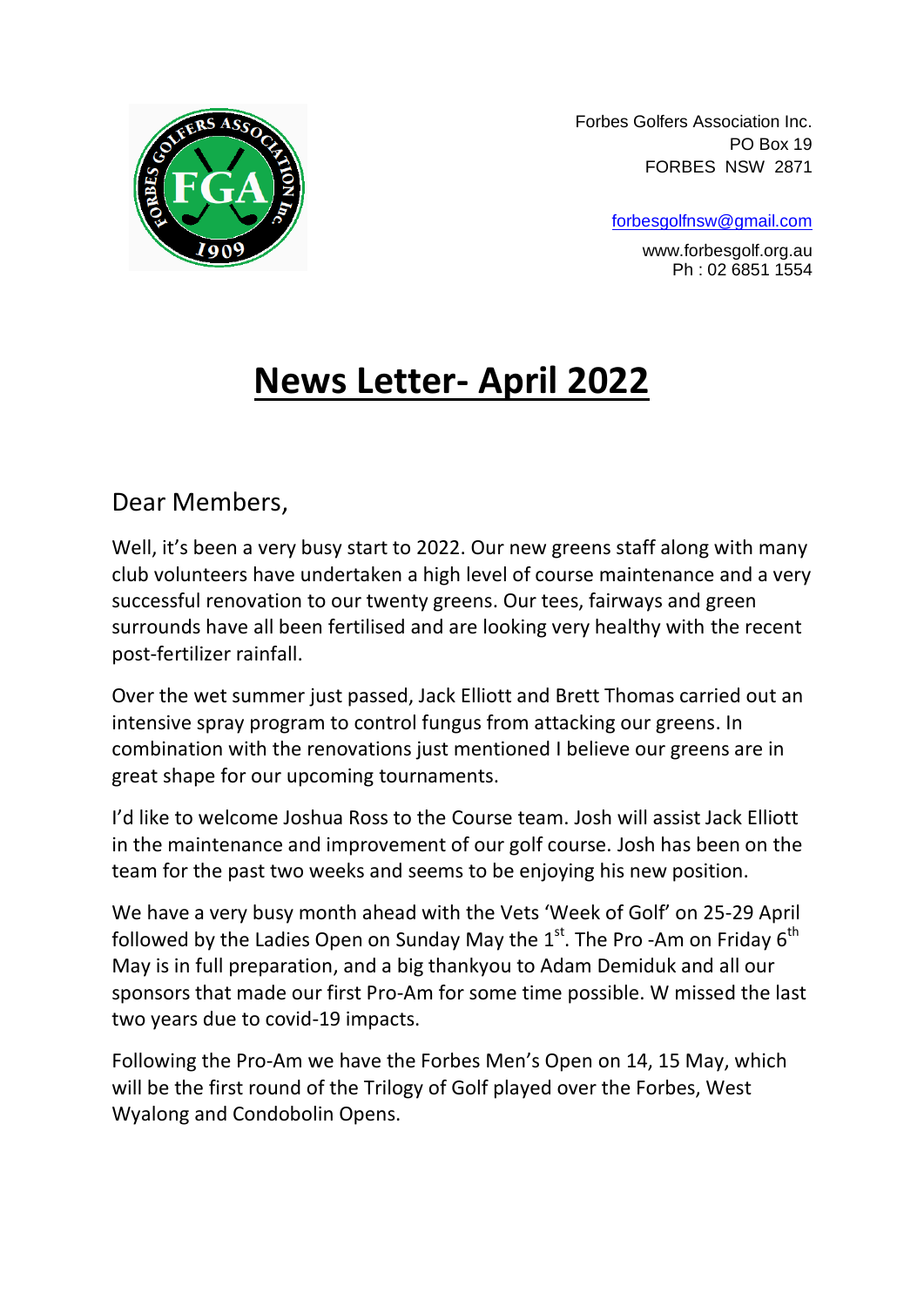

 Forbes Golfers Association Inc. PO Box 19 FORBES NSW 2871

[forbesgolfnsw@gmail.com](mailto:forbesgolfnsw@gmail.com)

 www.forbesgolf.org.au Ph : 02 6851 1554

## **News Letter- April 2022**

Dear Members,

Well, it's been a very busy start to 2022. Our new greens staff along with many club volunteers have undertaken a high level of course maintenance and a very successful renovation to our twenty greens. Our tees, fairways and green surrounds have all been fertilised and are looking very healthy with the recent post-fertilizer rainfall.

Over the wet summer just passed, Jack Elliott and Brett Thomas carried out an intensive spray program to control fungus from attacking our greens. In combination with the renovations just mentioned I believe our greens are in great shape for our upcoming tournaments.

I'd like to welcome Joshua Ross to the Course team. Josh will assist Jack Elliott in the maintenance and improvement of our golf course. Josh has been on the team for the past two weeks and seems to be enjoying his new position.

We have a very busy month ahead with the Vets 'Week of Golf' on 25-29 April followed by the Ladies Open on Sunday May the  $1<sup>st</sup>$ . The Pro-Am on Friday 6<sup>th</sup> May is in full preparation, and a big thankyou to Adam Demiduk and all our sponsors that made our first Pro-Am for some time possible. W missed the last two years due to covid-19 impacts.

Following the Pro-Am we have the Forbes Men's Open on 14, 15 May, which will be the first round of the Trilogy of Golf played over the Forbes, West Wyalong and Condobolin Opens.